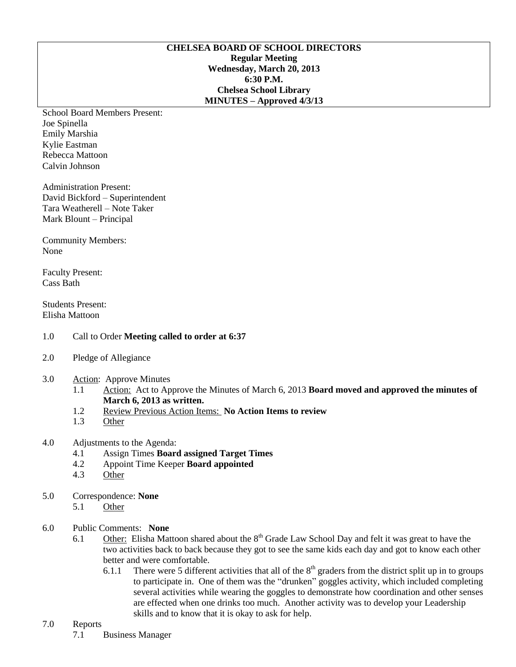## **CHELSEA BOARD OF SCHOOL DIRECTORS Regular Meeting Wednesday, March 20, 2013 6:30 P.M. Chelsea School Library MINUTES – Approved 4/3/13**

School Board Members Present: Joe Spinella Emily Marshia Kylie Eastman Rebecca Mattoon Calvin Johnson

Administration Present: David Bickford – Superintendent Tara Weatherell – Note Taker Mark Blount – Principal

Community Members: None

Faculty Present: Cass Bath

Students Present: Elisha Mattoon

- 1.0 Call to Order **Meeting called to order at 6:37**
- 2.0 Pledge of Allegiance
- 3.0 Action: Approve Minutes
	- 1.1 Action: Act to Approve the Minutes of March 6, 2013 **Board moved and approved the minutes of March 6, 2013 as written.**
	- 1.2 Review Previous Action Items: **No Action Items to review**
	- 1.3 Other
- 4.0 Adjustments to the Agenda:
	- 4.1 Assign Times **Board assigned Target Times**
	- 4.2 Appoint Time Keeper **Board appointed**
	- 4.3 Other
- 5.0 Correspondence: **None**
	- 5.1 Other
- 6.0 Public Comments: **None**
	- 6.1 Other: Elisha Mattoon shared about the  $8<sup>th</sup>$  Grade Law School Day and felt it was great to have the two activities back to back because they got to see the same kids each day and got to know each other better and were comfortable.
		- 6.1.1 There were 5 different activities that all of the  $8<sup>th</sup>$  graders from the district split up in to groups to participate in. One of them was the "drunken" goggles activity, which included completing several activities while wearing the goggles to demonstrate how coordination and other senses are effected when one drinks too much. Another activity was to develop your Leadership skills and to know that it is okay to ask for help.

## 7.0 Reports

7.1 Business Manager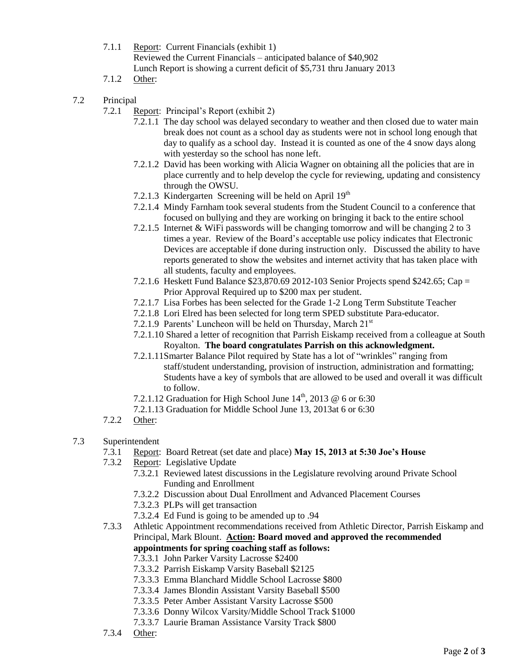- 7.1.1 Report: Current Financials (exhibit 1) Reviewed the Current Financials – anticipated balance of \$40,902 Lunch Report is showing a current deficit of \$5,731 thru January 2013
- 7.1.2 Other:
- 7.2 Principal
	- 7.2.1 Report: Principal's Report (exhibit 2)
		- 7.2.1.1 The day school was delayed secondary to weather and then closed due to water main break does not count as a school day as students were not in school long enough that day to qualify as a school day. Instead it is counted as one of the 4 snow days along with yesterday so the school has none left.
		- 7.2.1.2 David has been working with Alicia Wagner on obtaining all the policies that are in place currently and to help develop the cycle for reviewing, updating and consistency through the OWSU.
		- 7.2.1.3 Kindergarten Screening will be held on April  $19<sup>th</sup>$
		- 7.2.1.4 Mindy Farnham took several students from the Student Council to a conference that focused on bullying and they are working on bringing it back to the entire school
		- 7.2.1.5 Internet & WiFi passwords will be changing tomorrow and will be changing 2 to 3 times a year. Review of the Board's acceptable use policy indicates that Electronic Devices are acceptable if done during instruction only. Discussed the ability to have reports generated to show the websites and internet activity that has taken place with all students, faculty and employees.
		- 7.2.1.6 Heskett Fund Balance \$23,870.69 2012-103 Senior Projects spend \$242.65; Cap = Prior Approval Required up to \$200 max per student.
		- 7.2.1.7 Lisa Forbes has been selected for the Grade 1-2 Long Term Substitute Teacher
		- 7.2.1.8 Lori Elred has been selected for long term SPED substitute Para-educator.
		- 7.2.1.9 Parents' Luncheon will be held on Thursday, March  $21<sup>st</sup>$
		- 7.2.1.10 Shared a letter of recognition that Parrish Eiskamp received from a colleague at South Royalton. **The board congratulates Parrish on this acknowledgment.**
		- 7.2.1.11Smarter Balance Pilot required by State has a lot of "wrinkles" ranging from staff/student understanding, provision of instruction, administration and formatting; Students have a key of symbols that are allowed to be used and overall it was difficult to follow.
		- 7.2.1.12 Graduation for High School June  $14<sup>th</sup>$ , 2013 @ 6 or 6:30
		- 7.2.1.13 Graduation for Middle School June 13, 2013at 6 or 6:30
	- 7.2.2 Other:
- 7.3 Superintendent
	- 7.3.1 Report: Board Retreat (set date and place) **May 15, 2013 at 5:30 Joe's House**
	- 7.3.2 Report: Legislative Update
		- 7.3.2.1 Reviewed latest discussions in the Legislature revolving around Private School Funding and Enrollment
		- 7.3.2.2 Discussion about Dual Enrollment and Advanced Placement Courses
		- 7.3.2.3 PLPs will get transaction
		- 7.3.2.4 Ed Fund is going to be amended up to .94
	- 7.3.3 Athletic Appointment recommendations received from Athletic Director, Parrish Eiskamp and Principal, Mark Blount. **Action: Board moved and approved the recommended appointments for spring coaching staff as follows:**
		- 7.3.3.1 John Parker Varsity Lacrosse \$2400
		- 7.3.3.2 Parrish Eiskamp Varsity Baseball \$2125
		- 7.3.3.3 Emma Blanchard Middle School Lacrosse \$800
		- 7.3.3.4 James Blondin Assistant Varsity Baseball \$500
		- 7.3.3.5 Peter Amber Assistant Varsity Lacrosse \$500
		- 7.3.3.6 Donny Wilcox Varsity/Middle School Track \$1000
		- 7.3.3.7 Laurie Braman Assistance Varsity Track \$800
	- 7.3.4 Other: